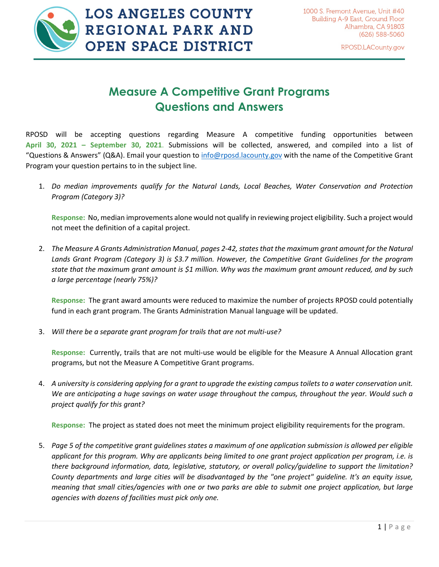

## **Measure A Competitive Grant Programs Questions and Answers**

RPOSD will be accepting questions regarding Measure A competitive funding opportunities between **April 30, 2021 – September 30, 2021**. Submissions will be collected, answered, and compiled into a list of "Questions & Answers" (Q&A). Email your question t[o info@rposd.lacounty.gov](mailto:info@rposd.lacounty.gov) with the name of the Competitive Grant Program your question pertains to in the subject line.

1. *Do median improvements qualify for the Natural Lands, Local Beaches, Water Conservation and Protection Program (Category 3)?*

**Response:** No, median improvements alone would not qualify in reviewing project eligibility. Such a project would not meet the definition of a capital project.

2. The Measure A Grants Administration Manual, pages 2-42, states that the maximum grant amount for the Natural *Lands Grant Program (Category 3) is \$3.7 million. However, the Competitive Grant Guidelines for the program state that the maximum grant amount is \$1 million. Why was the maximum grant amount reduced, and by such a large percentage (nearly 75%)?*

**Response:** The grant award amounts were reduced to maximize the number of projects RPOSD could potentially fund in each grant program. The Grants Administration Manual language will be updated.

3. *Will there be a separate grant program for trails that are not multi-use?*

**Response:** Currently, trails that are not multi-use would be eligible for the Measure A Annual Allocation grant programs, but not the Measure A Competitive Grant programs.

4. *A university is considering applying for a grant to upgrade the existing campus toilets to a water conservation unit. We are anticipating a huge savings on water usage throughout the campus, throughout the year. Would such a project qualify for this grant?*

**Response:** The project as stated does not meet the minimum project eligibility requirements for the program.

5. *Page 5 of the competitive grant guidelines states a maximum of one application submission is allowed per eligible applicant for this program. Why are applicants being limited to one grant project application per program, i.e. is there background information, data, legislative, statutory, or overall policy/guideline to support the limitation? County departments and large cities will be disadvantaged by the "one project" guideline. It's an equity issue, meaning that small cities/agencies with one or two parks are able to submit one project application, but large agencies with dozens of facilities must pick only one.*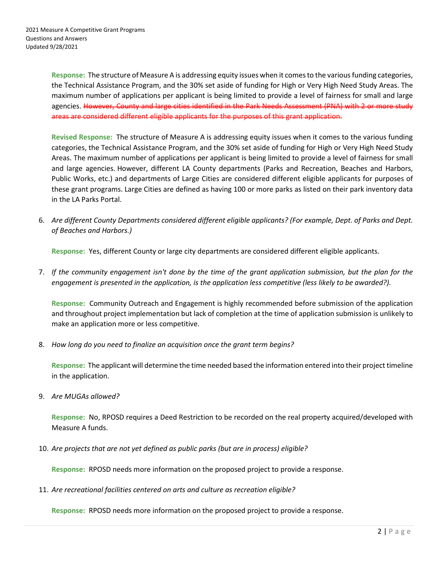**Response:** The structure of Measure A is addressing equity issues when it comes to the various funding categories, the Technical Assistance Program, and the 30% set aside of funding for High or Very High Need Study Areas. The maximum number of applications per applicant is being limited to provide a level of fairness for small and large agencies. However, County and large cities identified in the Park Needs Assessment (PNA) with 2 or more study areas are considered different eligible applicants for the purposes of this grant application.

**Revised Response:** The structure of Measure A is addressing equity issues when it comes to the various funding categories, the Technical Assistance Program, and the 30% set aside of funding for High or Very High Need Study Areas. The maximum number of applications per applicant is being limited to provide a level of fairness for small and large agencies. However, different LA County departments (Parks and Recreation, Beaches and Harbors, Public Works, etc.) and departments of Large Cities are considered different eligible applicants for purposes of these grant programs. Large Cities are defined as having 100 or more parks as listed on their park inventory data in the LA Parks Portal.

6. *Are different County Departments considered different eligible applicants? (For example, Dept. of Parks and Dept. of Beaches and Harbors.)*

**Response:** Yes, different County or large city departments are considered different eligible applicants.

7. *If the community engagement isn't done by the time of the grant application submission, but the plan for the engagement is presented in the application, is the application less competitive (less likely to be awarded?).*

**Response:** Community Outreach and Engagement is highly recommended before submission of the application and throughout project implementation but lack of completion at the time of application submission is unlikely to make an application more or less competitive.

8. *How long do you need to finalize an acquisition once the grant term begins?*

**Response:** The applicant will determine the time needed based the information entered into their project timeline in the application.

9. *Are MUGAs allowed?*

**Response:** No, RPOSD requires a Deed Restriction to be recorded on the real property acquired/developed with Measure A funds.

10. *Are projects that are not yet defined as public parks (but are in process) eligible?*

**Response:** RPOSD needs more information on the proposed project to provide a response.

11. *Are recreational facilities centered on arts and culture as recreation eligible?*

**Response:** RPOSD needs more information on the proposed project to provide a response.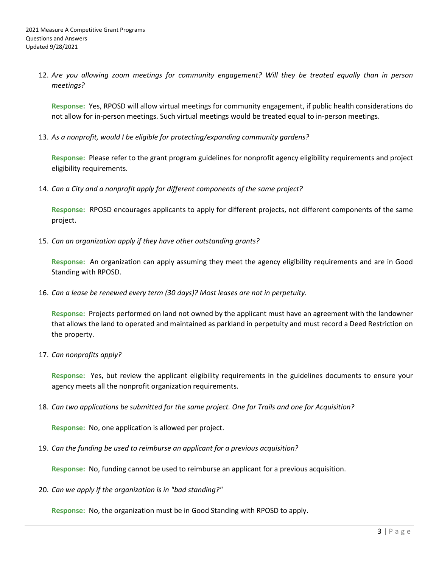12. *Are you allowing zoom meetings for community engagement? Will they be treated equally than in person meetings?*

**Response:** Yes, RPOSD will allow virtual meetings for community engagement, if public health considerations do not allow for in-person meetings. Such virtual meetings would be treated equal to in-person meetings.

13. *As a nonprofit, would I be eligible for protecting/expanding community gardens?*

**Response:** Please refer to the grant program guidelines for nonprofit agency eligibility requirements and project eligibility requirements.

14. *Can a City and a nonprofit apply for different components of the same project?*

**Response:** RPOSD encourages applicants to apply for different projects, not different components of the same project.

15. *Can an organization apply if they have other outstanding grants?*

**Response:** An organization can apply assuming they meet the agency eligibility requirements and are in Good Standing with RPOSD.

16. *Can a lease be renewed every term (30 days)? Most leases are not in perpetuity.*

**Response:** Projects performed on land not owned by the applicant must have an agreement with the landowner that allows the land to operated and maintained as parkland in perpetuity and must record a Deed Restriction on the property.

17. *Can nonprofits apply?*

**Response:** Yes, but review the applicant eligibility requirements in the guidelines documents to ensure your agency meets all the nonprofit organization requirements.

18. *Can two applications be submitted for the same project. One for Trails and one for Acquisition?*

**Response:** No, one application is allowed per project.

19. *Can the funding be used to reimburse an applicant for a previous acquisition?*

**Response:** No, funding cannot be used to reimburse an applicant for a previous acquisition.

20. *Can we apply if the organization is in "bad standing?"*

**Response:** No, the organization must be in Good Standing with RPOSD to apply.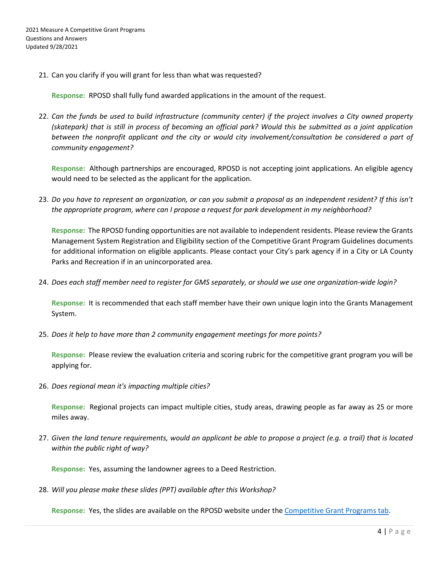21. Can you clarify if you will grant for less than what was requested?

**Response:** RPOSD shall fully fund awarded applications in the amount of the request.

22. *Can the funds be used to build infrastructure (community center) if the project involves a City owned property (skatepark) that is still in process of becoming an official park? Would this be submitted as a joint application between the nonprofit applicant and the city or would city involvement/consultation be considered a part of community engagement?*

**Response:** Although partnerships are encouraged, RPOSD is not accepting joint applications. An eligible agency would need to be selected as the applicant for the application.

23. *Do you have to represent an organization, or can you submit a proposal as an independent resident? If this isn't the appropriate program, where can I propose a request for park development in my neighborhood?*

**Response:** The RPOSD funding opportunities are not available to independent residents. Please review the Grants Management System Registration and Eligibility section of the Competitive Grant Program Guidelines documents for additional information on eligible applicants. Please contact your City's park agency if in a City or LA County Parks and Recreation if in an unincorporated area.

24. *Does each staff member need to register for GMS separately, or should we use one organization-wide login?*

**Response:** It is recommended that each staff member have their own unique login into the Grants Management System.

25. *Does it help to have more than 2 community engagement meetings for more points?*

**Response:** Please review the evaluation criteria and scoring rubric for the competitive grant program you will be applying for.

26. *Does regional mean it's impacting multiple cities?* 

**Response:** Regional projects can impact multiple cities, study areas, drawing people as far away as 25 or more miles away.

27. *Given the land tenure requirements, would an applicant be able to propose a project (e.g. a trail) that is located within the public right of way?*

**Response:** Yes, assuming the landowner agrees to a Deed Restriction.

28. *Will you please make these slides (PPT) available after this Workshop?*

**Response:** Yes, the slides are available on the RPOSD website under the [Competitive Grant Programs tab.](https://rposd.lacounty.gov/competitive-grant-programs/)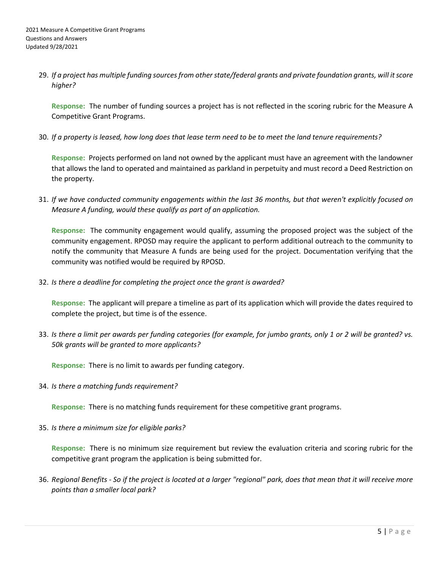29. *If a project has multiple funding sources from other state/federal grants and private foundation grants, will it score higher?*

**Response:** The number of funding sources a project has is not reflected in the scoring rubric for the Measure A Competitive Grant Programs.

30. *If a property is leased, how long does that lease term need to be to meet the land tenure requirements?*

**Response:** Projects performed on land not owned by the applicant must have an agreement with the landowner that allows the land to operated and maintained as parkland in perpetuity and must record a Deed Restriction on the property.

31. *If we have conducted community engagements within the last 36 months, but that weren't explicitly focused on Measure A funding, would these qualify as part of an application.*

**Response:** The community engagement would qualify, assuming the proposed project was the subject of the community engagement. RPOSD may require the applicant to perform additional outreach to the community to notify the community that Measure A funds are being used for the project. Documentation verifying that the community was notified would be required by RPOSD.

32. *Is there a deadline for completing the project once the grant is awarded?*

**Response:** The applicant will prepare a timeline as part of its application which will provide the dates required to complete the project, but time is of the essence.

33. *Is there a limit per awards per funding categories (for example, for jumbo grants, only 1 or 2 will be granted? vs. 50k grants will be granted to more applicants?*

**Response:** There is no limit to awards per funding category.

34. *Is there a matching funds requirement?*

**Response:** There is no matching funds requirement for these competitive grant programs.

35. *Is there a minimum size for eligible parks?*

**Response:** There is no minimum size requirement but review the evaluation criteria and scoring rubric for the competitive grant program the application is being submitted for.

36. *Regional Benefits - So if the project is located at a larger "regional" park, does that mean that it will receive more points than a smaller local park?*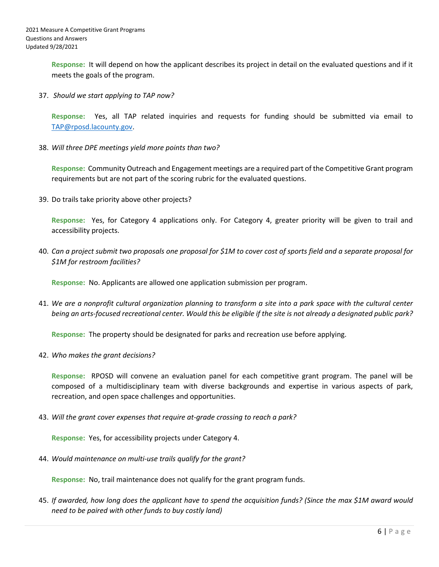**Response:** It will depend on how the applicant describes its project in detail on the evaluated questions and if it meets the goals of the program.

37. *Should we start applying to TAP now?*

**Response:** Yes, all TAP related inquiries and requests for funding should be submitted via email to [TAP@rposd.lacounty.gov.](mailto:TAP@rposd.lacounty.gov)

38. *Will three DPE meetings yield more points than two?*

**Response:** Community Outreach and Engagement meetings are a required part of the Competitive Grant program requirements but are not part of the scoring rubric for the evaluated questions.

39. Do trails take priority above other projects?

**Response:** Yes, for Category 4 applications only. For Category 4, greater priority will be given to trail and accessibility projects.

40. *Can a project submit two proposals one proposal for \$1M to cover cost of sports field and a separate proposal for \$1M for restroom facilities?*

**Response:** No. Applicants are allowed one application submission per program.

41. *We are a nonprofit cultural organization planning to transform a site into a park space with the cultural center being an arts-focused recreational center. Would this be eligible if the site is not already a designated public park?*

**Response:** The property should be designated for parks and recreation use before applying.

42. *Who makes the grant decisions?*

**Response:** RPOSD will convene an evaluation panel for each competitive grant program. The panel will be composed of a multidisciplinary team with diverse backgrounds and expertise in various aspects of park, recreation, and open space challenges and opportunities.

43. *Will the grant cover expenses that require at-grade crossing to reach a park?*

**Response:** Yes, for accessibility projects under Category 4.

44. *Would maintenance on multi-use trails qualify for the grant?*

**Response:** No, trail maintenance does not qualify for the grant program funds.

45. *If awarded, how long does the applicant have to spend the acquisition funds? (Since the max \$1M award would need to be paired with other funds to buy costly land)*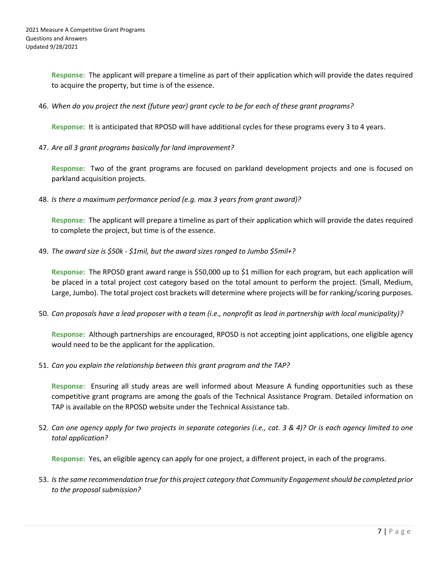**Response:** The applicant will prepare a timeline as part of their application which will provide the dates required to acquire the property, but time is of the essence.

46. *When do you project the next (future year) grant cycle to be for each of these grant programs?*

**Response:** It is anticipated that RPOSD will have additional cycles for these programs every 3 to 4 years.

47. *Are all 3 grant programs basically for land improvement?*

**Response:** Two of the grant programs are focused on parkland development projects and one is focused on parkland acquisition projects.

48. *Is there a maximum performance period (e.g. max 3 years from grant award)?*

**Response:** The applicant will prepare a timeline as part of their application which will provide the dates required to complete the project, but time is of the essence.

49. *The award size is \$50k - \$1mil, but the award sizes ranged to Jumbo \$5mil+?* 

**Response:** The RPOSD grant award range is \$50,000 up to \$1 million for each program, but each application will be placed in a total project cost category based on the total amount to perform the project. (Small, Medium, Large, Jumbo). The total project cost brackets will determine where projects will be for ranking/scoring purposes.

50. *Can proposals have a lead proposer with a team (i.e., nonprofit as lead in partnership with local municipality)?*

**Response:** Although partnerships are encouraged, RPOSD is not accepting joint applications, one eligible agency would need to be the applicant for the application.

51. *Can you explain the relationship between this grant program and the TAP?*

**Response:** Ensuring all study areas are well informed about Measure A funding opportunities such as these competitive grant programs are among the goals of the Technical Assistance Program. Detailed information on TAP is available on the RPOSD website under the Technical Assistance tab.

52. *Can one agency apply for two projects in separate categories (i.e., cat. 3 & 4)? Or is each agency limited to one total application?*

**Response:** Yes, an eligible agency can apply for one project, a different project, in each of the programs.

53. *Is the same recommendation true for this project category that Community Engagement should be completed prior to the proposal submission?*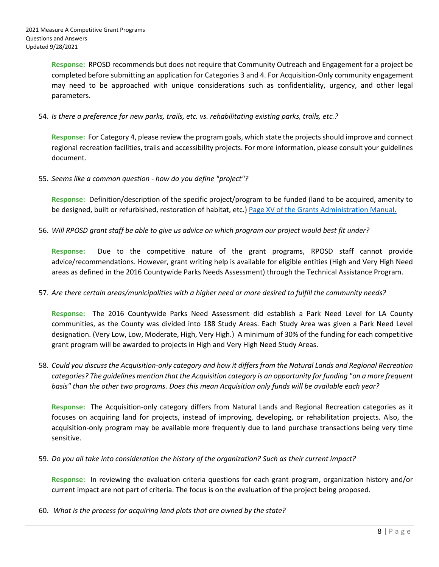**Response:** RPOSD recommends but does not require that Community Outreach and Engagement for a project be completed before submitting an application for Categories 3 and 4. For Acquisition-Only community engagement may need to be approached with unique considerations such as confidentiality, urgency, and other legal parameters.

54. *Is there a preference for new parks, trails, etc. vs. rehabilitating existing parks, trails, etc.?*

**Response:** For Category 4, please review the program goals, which state the projects should improve and connect regional recreation facilities, trails and accessibility projects. For more information, please consult your guidelines document.

55. *Seems like a common question - how do you define "project"?*

**Response:** Definition/description of the specific project/program to be funded (land to be acquired, amenity to be designed, built or refurbished, restoration of habitat, etc.) [Page XV of the Grants Administration Manual.](https://rposd.lacounty.gov/wp-content/uploads/2021/03/Measure-A-GAM-April-2021-Edition.pdf)

56. *Will RPOSD grant staff be able to give us advice on which program our project would best fit under?*

**Response:** Due to the competitive nature of the grant programs, RPOSD staff cannot provide advice/recommendations. However, grant writing help is available for eligible entities (High and Very High Need areas as defined in the 2016 Countywide Parks Needs Assessment) through the Technical Assistance Program.

57. *Are there certain areas/municipalities with a higher need or more desired to fulfill the community needs?*

**Response:** The 2016 Countywide Parks Need Assessment did establish a Park Need Level for LA County communities, as the County was divided into 188 Study Areas. Each Study Area was given a Park Need Level designation. (Very Low, Low, Moderate, High, Very High.) A minimum of 30% of the funding for each competitive grant program will be awarded to projects in High and Very High Need Study Areas.

58. *Could you discuss the Acquisition-only category and how it differs from the Natural Lands and Regional Recreation categories? The guidelines mention that the Acquisition category is an opportunity for funding "on a more frequent basis" than the other two programs. Does this mean Acquisition only funds will be available each year?* 

**Response:** The Acquisition-only category differs from Natural Lands and Regional Recreation categories as it focuses on acquiring land for projects, instead of improving, developing, or rehabilitation projects. Also, the acquisition-only program may be available more frequently due to land purchase transactions being very time sensitive.

59. *Do you all take into consideration the history of the organization? Such as their current impact?*

**Response:** In reviewing the evaluation criteria questions for each grant program, organization history and/or current impact are not part of criteria. The focus is on the evaluation of the project being proposed.

60. *What is the process for acquiring land plots that are owned by the state?*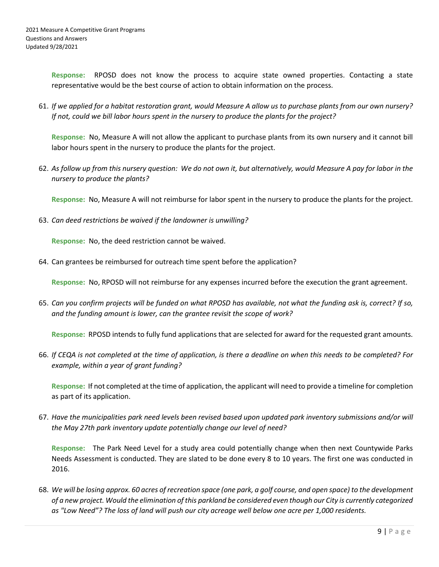**Response:** RPOSD does not know the process to acquire state owned properties. Contacting a state representative would be the best course of action to obtain information on the process.

61. *If we applied for a habitat restoration grant, would Measure A allow us to purchase plants from our own nursery? If not, could we bill labor hours spent in the nursery to produce the plants for the project?*

**Response:** No, Measure A will not allow the applicant to purchase plants from its own nursery and it cannot bill labor hours spent in the nursery to produce the plants for the project.

62. *As follow up from this nursery question: We do not own it, but alternatively, would Measure A pay for labor in the nursery to produce the plants?*

**Response:** No, Measure A will not reimburse for labor spent in the nursery to produce the plants for the project.

63. *Can deed restrictions be waived if the landowner is unwilling?*

**Response:** No, the deed restriction cannot be waived.

64. Can grantees be reimbursed for outreach time spent before the application?

**Response:** No, RPOSD will not reimburse for any expenses incurred before the execution the grant agreement.

65. *Can you confirm projects will be funded on what RPOSD has available, not what the funding ask is, correct? If so, and the funding amount is lower, can the grantee revisit the scope of work?*

**Response:** RPOSD intends to fully fund applications that are selected for award for the requested grant amounts.

66. *If CEQA is not completed at the time of application, is there a deadline on when this needs to be completed? For example, within a year of grant funding?*

**Response:** If not completed at the time of application, the applicant will need to provide a timeline for completion as part of its application.

67. *Have the municipalities park need levels been revised based upon updated park inventory submissions and/or will the May 27th park inventory update potentially change our level of need?*

**Response:** The Park Need Level for a study area could potentially change when then next Countywide Parks Needs Assessment is conducted. They are slated to be done every 8 to 10 years. The first one was conducted in 2016.

68. *We will be losing approx. 60 acres of recreation space (one park, a golf course, and open space) to the development of a new project. Would the elimination of this parkland be considered even though our City is currently categorized as "Low Need"? The loss of land will push our city acreage well below one acre per 1,000 residents.*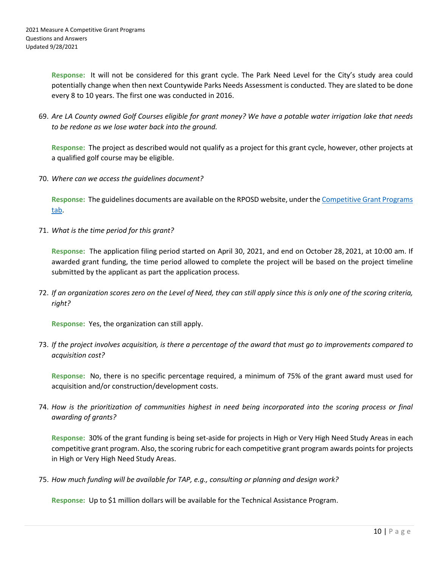**Response:** It will not be considered for this grant cycle. The Park Need Level for the City's study area could potentially change when then next Countywide Parks Needs Assessment is conducted. They are slated to be done every 8 to 10 years. The first one was conducted in 2016.

69. *Are LA County owned Golf Courses eligible for grant money? We have a potable water irrigation lake that needs to be redone as we lose water back into the ground.*

**Response:** The project as described would not qualify as a project for this grant cycle, however, other projects at a qualified golf course may be eligible.

70. *Where can we access the guidelines document?*

**Response:** The guidelines documents are available on the RPOSD website, under the [Competitive Grant Programs](https://rposd.lacounty.gov/competitive-grant-programs/)  [tab.](https://rposd.lacounty.gov/competitive-grant-programs/)

71. *What is the time period for this grant?*

**Response:** The application filing period started on April 30, 2021, and end on October 28, 2021, at 10:00 am. If awarded grant funding, the time period allowed to complete the project will be based on the project timeline submitted by the applicant as part the application process.

72. *If an organization scores zero on the Level of Need, they can still apply since this is only one of the scoring criteria, right?*

**Response:** Yes, the organization can still apply.

73. *If the project involves acquisition, is there a percentage of the award that must go to improvements compared to acquisition cost?*

**Response:** No, there is no specific percentage required, a minimum of 75% of the grant award must used for acquisition and/or construction/development costs.

74. *How is the prioritization of communities highest in need being incorporated into the scoring process or final awarding of grants?* 

**Response:** 30% of the grant funding is being set-aside for projects in High or Very High Need Study Areas in each competitive grant program. Also, the scoring rubric for each competitive grant program awards points for projects in High or Very High Need Study Areas.

75. *How much funding will be available for TAP, e.g., consulting or planning and design work?*

**Response:** Up to \$1 million dollars will be available for the Technical Assistance Program.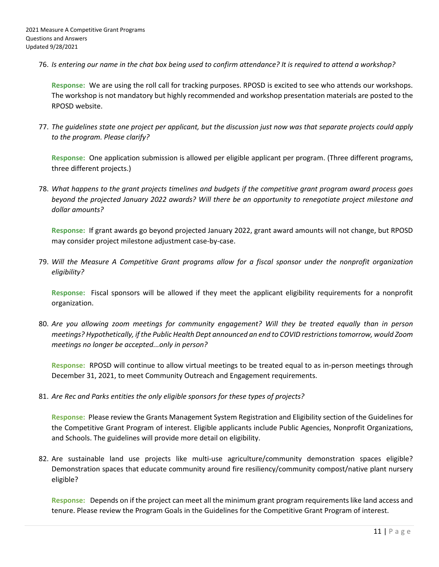76. *Is entering our name in the chat box being used to confirm attendance? It is required to attend a workshop?*

**Response:** We are using the roll call for tracking purposes. RPOSD is excited to see who attends our workshops. The workshop is not mandatory but highly recommended and workshop presentation materials are posted to the RPOSD website.

77. *The guidelines state one project per applicant, but the discussion just now was that separate projects could apply to the program. Please clarify?*

**Response:** One application submission is allowed per eligible applicant per program. (Three different programs, three different projects.)

78. *What happens to the grant projects timelines and budgets if the competitive grant program award process goes beyond the projected January 2022 awards? Will there be an opportunity to renegotiate project milestone and dollar amounts?*

**Response:** If grant awards go beyond projected January 2022, grant award amounts will not change, but RPOSD may consider project milestone adjustment case-by-case.

79. *Will the Measure A Competitive Grant programs allow for a fiscal sponsor under the nonprofit organization eligibility?*

**Response:** Fiscal sponsors will be allowed if they meet the applicant eligibility requirements for a nonprofit organization.

80. *Are you allowing zoom meetings for community engagement? Will they be treated equally than in person meetings? Hypothetically, if the Public Health Dept announced an end to COVID restrictions tomorrow, would Zoom meetings no longer be accepted...only in person?*

**Response:** RPOSD will continue to allow virtual meetings to be treated equal to as in-person meetings through December 31, 2021, to meet Community Outreach and Engagement requirements.

81. *Are Rec and Parks entities the only eligible sponsors for these types of projects?*

**Response:** Please review the Grants Management System Registration and Eligibility section of the Guidelines for the Competitive Grant Program of interest. Eligible applicants include Public Agencies, Nonprofit Organizations, and Schools. The guidelines will provide more detail on eligibility.

82. Are sustainable land use projects like multi-use agriculture/community demonstration spaces eligible? Demonstration spaces that educate community around fire resiliency/community compost/native plant nursery eligible?

**Response:** Depends on if the project can meet all the minimum grant program requirements like land access and tenure. Please review the Program Goals in the Guidelines for the Competitive Grant Program of interest.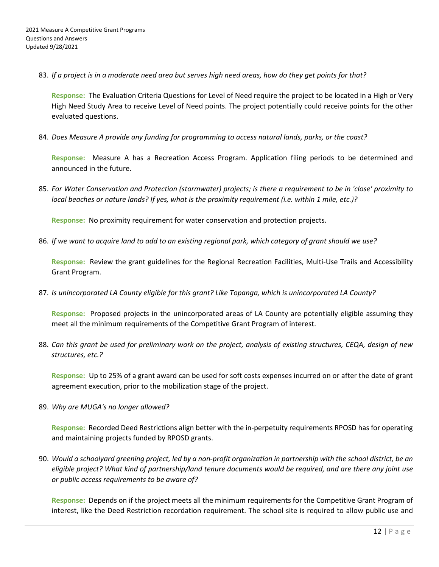83. *If a project is in a moderate need area but serves high need areas, how do they get points for that?*

**Response:** The Evaluation Criteria Questions for Level of Need require the project to be located in a High or Very High Need Study Area to receive Level of Need points. The project potentially could receive points for the other evaluated questions.

84. *Does Measure A provide any funding for programming to access natural lands, parks, or the coast?*

**Response:** Measure A has a Recreation Access Program. Application filing periods to be determined and announced in the future.

85. *For Water Conservation and Protection (stormwater) projects; is there a requirement to be in 'close' proximity to local beaches or nature lands? If yes, what is the proximity requirement (i.e. within 1 mile, etc.)?*

**Response:** No proximity requirement for water conservation and protection projects.

86. *If we want to acquire land to add to an existing regional park, which category of grant should we use?*

**Response:** Review the grant guidelines for the Regional Recreation Facilities, Multi-Use Trails and Accessibility Grant Program.

87. *Is unincorporated LA County eligible for this grant? Like Topanga, which is unincorporated LA County?*

**Response:** Proposed projects in the unincorporated areas of LA County are potentially eligible assuming they meet all the minimum requirements of the Competitive Grant Program of interest.

88. *Can this grant be used for preliminary work on the project, analysis of existing structures, CEQA, design of new structures, etc.?*

**Response:** Up to 25% of a grant award can be used for soft costs expenses incurred on or after the date of grant agreement execution, prior to the mobilization stage of the project.

89. *Why are MUGA's no longer allowed?*

**Response:** Recorded Deed Restrictions align better with the in-perpetuity requirements RPOSD has for operating and maintaining projects funded by RPOSD grants.

90. *Would a schoolyard greening project, led by a non-profit organization in partnership with the school district, be an eligible project? What kind of partnership/land tenure documents would be required, and are there any joint use or public access requirements to be aware of?*

**Response:** Depends on if the project meets all the minimum requirements for the Competitive Grant Program of interest, like the Deed Restriction recordation requirement. The school site is required to allow public use and